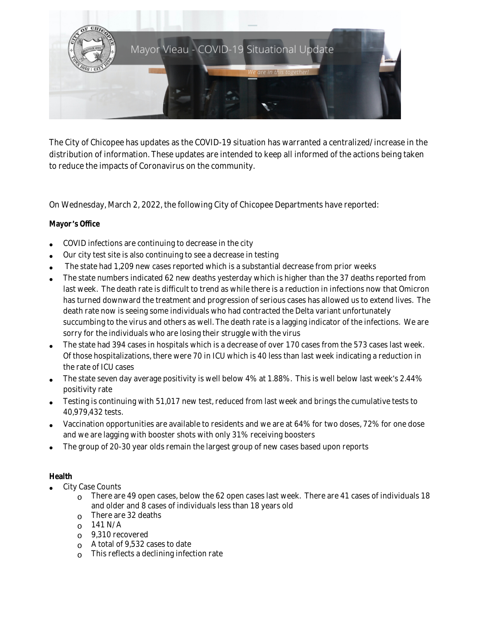

The City of Chicopee has updates as the COVID-19 situation has warranted a centralized/increase in the distribution of information. These updates are intended to keep all informed of the actions being taken to reduce the impacts of Coronavirus on the community.

On Wednesday, March 2, 2022, the following City of Chicopee Departments have reported:

# **Mayor** '**s Office**

- COVID infections are continuing to decrease in the city
- Our city test site is also continuing to see a decrease in testing
- The state had 1,209 new cases reported which is a substantial decrease from prior weeks
- The state numbers indicated 62 new deaths yesterday which is higher than the 37 deaths reported from last week. The death rate is difficult to trend as while there is a reduction in infections now that Omicron has turned downward the treatment and progression of serious cases has allowed us to extend lives. The death rate now is seeing some individuals who had contracted the Delta variant unfortunately succumbing to the virus and others as well. The death rate is a lagging indicator of the infections. We are sorry for the individuals who are losing their struggle with the virus
- The state had 394 cases in hospitals which is a decrease of over 170 cases from the 573 cases last week. Of those hospitalizations, there were 70 in ICU which is 40 less than last week indicating a reduction in the rate of ICU cases
- The state seven day average positivity is well below 4% at 1.88%. This is well below last week's 2.44% positivity rate
- Testing is continuing with 51,017 new test, reduced from last week and brings the cumulative tests to 40,979,432 tests.
- Vaccination opportunities are available to residents and we are at 64% for two doses, 72% for one dose and we are lagging with booster shots with only 31% receiving boosters
- The group of 20-30 year olds remain the largest group of new cases based upon reports

# **Health**

- City Case Counts
	- $\Omega$  There are 49 open cases, below the 62 open cases last week. There are 41 cases of individuals 18 and older and 8 cases of individuals less than 18 years old
	- $\circ$  There are 32 deaths
	- $O$  141 N/A
	- o 9,310 recovered
	- o A total of 9,532 cases to date
	- o This reflects a declining infection rate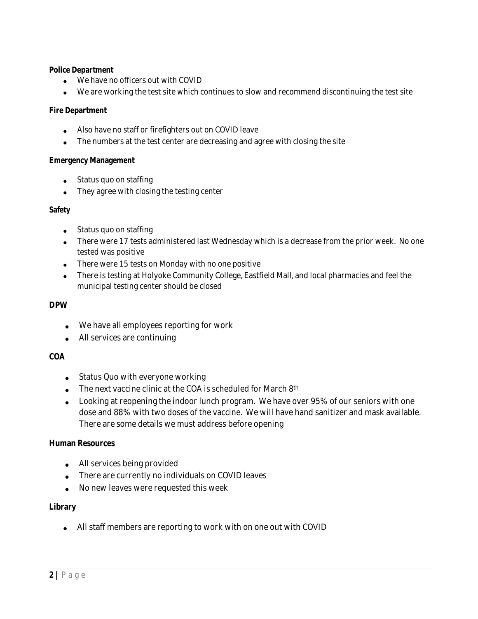#### **Police Department**

- We have no officers out with COVID
- We are working the test site which continues to slow and recommend discontinuing the test site

### **Fire Department**

- Also have no staff or firefighters out on COVID leave
- The numbers at the test center are decreasing and agree with closing the site

#### **Emergency Management**

- Status quo on staffing
- They agree with closing the testing center

### **Safety**

- Status quo on staffing
- There were 17 tests administered last Wednesday which is a decrease from the prior week. No one tested was positive
- There were 15 tests on Monday with no one positive
- There is testing at Holyoke Community College, Eastfield Mall, and local pharmacies and feel the municipal testing center should be closed

### **DPW**

- We have all employees reporting for work
- All services are continuing

# **COA**

- Status Quo with everyone working
- The next vaccine clinic at the COA is scheduled for March 8<sup>th</sup>
- Looking at reopening the indoor lunch program. We have over 95% of our seniors with one dose and 88% with two doses of the vaccine. We will have hand sanitizer and mask available. There are some details we must address before opening

# **Human Resources**

- All services being provided
- There are currently no individuals on COVID leaves
- No new leaves were requested this week

# **Library**

All staff members are reporting to work with on one out with COVID